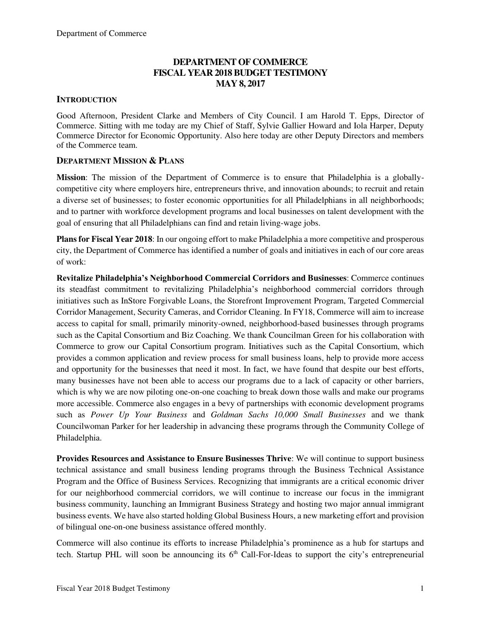## **DEPARTMENT OF COMMERCE FISCAL YEAR 2018 BUDGET TESTIMONY MAY 8, 2017**

#### **INTRODUCTION**

Good Afternoon, President Clarke and Members of City Council. I am Harold T. Epps, Director of Commerce. Sitting with me today are my Chief of Staff, Sylvie Gallier Howard and Iola Harper, Deputy Commerce Director for Economic Opportunity. Also here today are other Deputy Directors and members of the Commerce team.

#### **DEPARTMENT MISSION & PLANS**

**Mission**: The mission of the Department of Commerce is to ensure that Philadelphia is a globallycompetitive city where employers hire, entrepreneurs thrive, and innovation abounds; to recruit and retain a diverse set of businesses; to foster economic opportunities for all Philadelphians in all neighborhoods; and to partner with workforce development programs and local businesses on talent development with the goal of ensuring that all Philadelphians can find and retain living-wage jobs.

**Plans for Fiscal Year 2018**: In our ongoing effort to make Philadelphia a more competitive and prosperous city, the Department of Commerce has identified a number of goals and initiatives in each of our core areas of work:

**Revitalize Philadelphia's Neighborhood Commercial Corridors and Businesses**: Commerce continues its steadfast commitment to revitalizing Philadelphia's neighborhood commercial corridors through initiatives such as InStore Forgivable Loans, the Storefront Improvement Program, Targeted Commercial Corridor Management, Security Cameras, and Corridor Cleaning. In FY18, Commerce will aim to increase access to capital for small, primarily minority-owned, neighborhood-based businesses through programs such as the Capital Consortium and Biz Coaching. We thank Councilman Green for his collaboration with Commerce to grow our Capital Consortium program. Initiatives such as the Capital Consortium, which provides a common application and review process for small business loans, help to provide more access and opportunity for the businesses that need it most. In fact, we have found that despite our best efforts, many businesses have not been able to access our programs due to a lack of capacity or other barriers, which is why we are now piloting one-on-one coaching to break down those walls and make our programs more accessible. Commerce also engages in a bevy of partnerships with economic development programs such as *Power Up Your Business* and *Goldman Sachs 10,000 Small Businesses* and we thank Councilwoman Parker for her leadership in advancing these programs through the Community College of Philadelphia.

**Provides Resources and Assistance to Ensure Businesses Thrive**: We will continue to support business technical assistance and small business lending programs through the Business Technical Assistance Program and the Office of Business Services. Recognizing that immigrants are a critical economic driver for our neighborhood commercial corridors, we will continue to increase our focus in the immigrant business community, launching an Immigrant Business Strategy and hosting two major annual immigrant business events. We have also started holding Global Business Hours, a new marketing effort and provision of bilingual one-on-one business assistance offered monthly.

Commerce will also continue its efforts to increase Philadelphia's prominence as a hub for startups and tech. Startup PHL will soon be announcing its  $6<sup>th</sup>$  Call-For-Ideas to support the city's entrepreneurial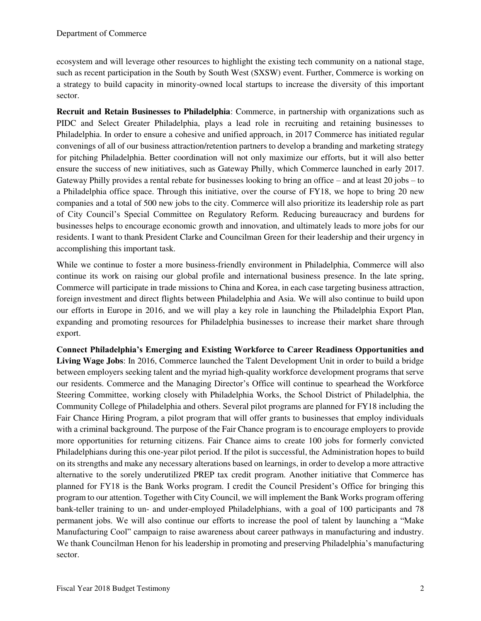ecosystem and will leverage other resources to highlight the existing tech community on a national stage, such as recent participation in the South by South West (SXSW) event. Further, Commerce is working on a strategy to build capacity in minority-owned local startups to increase the diversity of this important sector.

**Recruit and Retain Businesses to Philadelphia**: Commerce, in partnership with organizations such as PIDC and Select Greater Philadelphia, plays a lead role in recruiting and retaining businesses to Philadelphia. In order to ensure a cohesive and unified approach, in 2017 Commerce has initiated regular convenings of all of our business attraction/retention partners to develop a branding and marketing strategy for pitching Philadelphia. Better coordination will not only maximize our efforts, but it will also better ensure the success of new initiatives, such as Gateway Philly, which Commerce launched in early 2017. Gateway Philly provides a rental rebate for businesses looking to bring an office – and at least 20 jobs – to a Philadelphia office space. Through this initiative, over the course of FY18, we hope to bring 20 new companies and a total of 500 new jobs to the city. Commerce will also prioritize its leadership role as part of City Council's Special Committee on Regulatory Reform. Reducing bureaucracy and burdens for businesses helps to encourage economic growth and innovation, and ultimately leads to more jobs for our residents. I want to thank President Clarke and Councilman Green for their leadership and their urgency in accomplishing this important task.

While we continue to foster a more business-friendly environment in Philadelphia, Commerce will also continue its work on raising our global profile and international business presence. In the late spring, Commerce will participate in trade missions to China and Korea, in each case targeting business attraction, foreign investment and direct flights between Philadelphia and Asia. We will also continue to build upon our efforts in Europe in 2016, and we will play a key role in launching the Philadelphia Export Plan, expanding and promoting resources for Philadelphia businesses to increase their market share through export.

**Connect Philadelphia's Emerging and Existing Workforce to Career Readiness Opportunities and Living Wage Jobs**: In 2016, Commerce launched the Talent Development Unit in order to build a bridge between employers seeking talent and the myriad high-quality workforce development programs that serve our residents. Commerce and the Managing Director's Office will continue to spearhead the Workforce Steering Committee, working closely with Philadelphia Works, the School District of Philadelphia, the Community College of Philadelphia and others. Several pilot programs are planned for FY18 including the Fair Chance Hiring Program, a pilot program that will offer grants to businesses that employ individuals with a criminal background. The purpose of the Fair Chance program is to encourage employers to provide more opportunities for returning citizens. Fair Chance aims to create 100 jobs for formerly convicted Philadelphians during this one-year pilot period. If the pilot is successful, the Administration hopes to build on its strengths and make any necessary alterations based on learnings, in order to develop a more attractive alternative to the sorely underutilized PREP tax credit program. Another initiative that Commerce has planned for FY18 is the Bank Works program. I credit the Council President's Office for bringing this program to our attention. Together with City Council, we will implement the Bank Works program offering bank-teller training to un- and under-employed Philadelphians, with a goal of 100 participants and 78 permanent jobs. We will also continue our efforts to increase the pool of talent by launching a "Make Manufacturing Cool" campaign to raise awareness about career pathways in manufacturing and industry. We thank Councilman Henon for his leadership in promoting and preserving Philadelphia's manufacturing sector.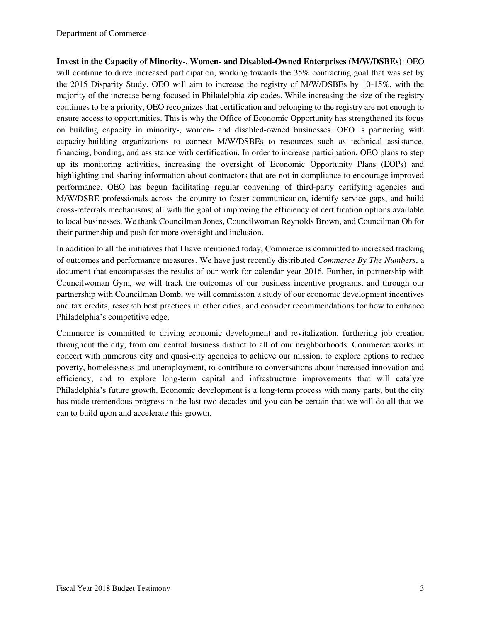**Invest in the Capacity of Minority-, Women- and Disabled-Owned Enterprises (M/W/DSBEs)**: OEO will continue to drive increased participation, working towards the 35% contracting goal that was set by the 2015 Disparity Study. OEO will aim to increase the registry of M/W/DSBEs by 10-15%, with the majority of the increase being focused in Philadelphia zip codes. While increasing the size of the registry continues to be a priority, OEO recognizes that certification and belonging to the registry are not enough to ensure access to opportunities. This is why the Office of Economic Opportunity has strengthened its focus on building capacity in minority-, women- and disabled-owned businesses. OEO is partnering with capacity-building organizations to connect M/W/DSBEs to resources such as technical assistance, financing, bonding, and assistance with certification. In order to increase participation, OEO plans to step up its monitoring activities, increasing the oversight of Economic Opportunity Plans (EOPs) and highlighting and sharing information about contractors that are not in compliance to encourage improved performance. OEO has begun facilitating regular convening of third-party certifying agencies and M/W/DSBE professionals across the country to foster communication, identify service gaps, and build cross-referrals mechanisms; all with the goal of improving the efficiency of certification options available to local businesses. We thank Councilman Jones, Councilwoman Reynolds Brown, and Councilman Oh for their partnership and push for more oversight and inclusion.

In addition to all the initiatives that I have mentioned today, Commerce is committed to increased tracking of outcomes and performance measures. We have just recently distributed *Commerce By The Numbers*, a document that encompasses the results of our work for calendar year 2016. Further, in partnership with Councilwoman Gym, we will track the outcomes of our business incentive programs, and through our partnership with Councilman Domb, we will commission a study of our economic development incentives and tax credits, research best practices in other cities, and consider recommendations for how to enhance Philadelphia's competitive edge.

Commerce is committed to driving economic development and revitalization, furthering job creation throughout the city, from our central business district to all of our neighborhoods. Commerce works in concert with numerous city and quasi-city agencies to achieve our mission, to explore options to reduce poverty, homelessness and unemployment, to contribute to conversations about increased innovation and efficiency, and to explore long-term capital and infrastructure improvements that will catalyze Philadelphia's future growth. Economic development is a long-term process with many parts, but the city has made tremendous progress in the last two decades and you can be certain that we will do all that we can to build upon and accelerate this growth.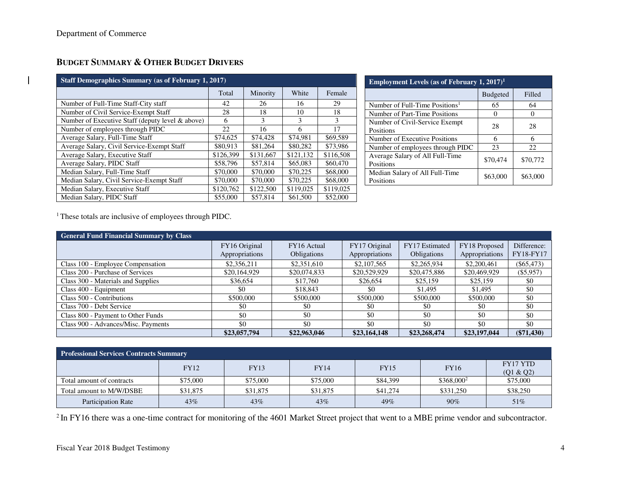# **BUDGET SUMMARY & OTHER BUDGET DRIVERS**

| <b>Staff Demographics Summary (as of February 1, 2017)</b> |           |           |           |           |  |  |  |  |  |  |  |  |
|------------------------------------------------------------|-----------|-----------|-----------|-----------|--|--|--|--|--|--|--|--|
|                                                            | Total     | Minority  | White     | Female    |  |  |  |  |  |  |  |  |
| Number of Full-Time Staff-City staff                       | 42        | 26        | 16        | 29        |  |  |  |  |  |  |  |  |
| Number of Civil Service-Exempt Staff                       | 28        | 18        | 10        | 18        |  |  |  |  |  |  |  |  |
| Number of Executive Staff (deputy level & above)           | 6         | 3         | 3         | 3         |  |  |  |  |  |  |  |  |
| Number of employees through PIDC                           | 22        | 16        | 6         | 17        |  |  |  |  |  |  |  |  |
| Average Salary, Full-Time Staff                            | \$74,625  | \$74,428  | \$74.981  | \$69,589  |  |  |  |  |  |  |  |  |
| Average Salary, Civil Service-Exempt Staff                 | \$80.913  | \$81,264  | \$80,282  | \$73,986  |  |  |  |  |  |  |  |  |
| Average Salary, Executive Staff                            | \$126.399 | \$131,667 | \$121,132 | \$116,508 |  |  |  |  |  |  |  |  |
| Average Salary, PIDC Staff                                 | \$58,796  | \$57.814  | \$65,083  | \$60,470  |  |  |  |  |  |  |  |  |
| Median Salary, Full-Time Staff                             | \$70,000  | \$70,000  | \$70,225  | \$68,000  |  |  |  |  |  |  |  |  |
| Median Salary, Civil Service-Exempt Staff                  | \$70,000  | \$70,000  | \$70,225  | \$68,000  |  |  |  |  |  |  |  |  |
| Median Salary, Executive Staff                             | \$120,762 | \$122,500 | \$119,025 | \$119,025 |  |  |  |  |  |  |  |  |
| Median Salary, PIDC Staff                                  | \$55,000  | \$57.814  | \$61,500  | \$52,000  |  |  |  |  |  |  |  |  |

| <b>Employment Levels (as of February 1, 2017)</b> <sup>1</sup> |                 |          |  |  |  |  |  |  |  |  |
|----------------------------------------------------------------|-----------------|----------|--|--|--|--|--|--|--|--|
|                                                                | <b>Budgeted</b> | Filled   |  |  |  |  |  |  |  |  |
| Number of Full-Time Positions <sup>1</sup>                     | 65              | 64       |  |  |  |  |  |  |  |  |
| Number of Part-Time Positions                                  | 0               |          |  |  |  |  |  |  |  |  |
| Number of Civil-Service Exempt<br>Positions                    | 28              | 28       |  |  |  |  |  |  |  |  |
| Number of Executive Positions                                  | 6               |          |  |  |  |  |  |  |  |  |
| Number of employees through PIDC                               | 23              | 22       |  |  |  |  |  |  |  |  |
| Average Salary of All Full-Time<br>Positions                   | \$70,474        | \$70,772 |  |  |  |  |  |  |  |  |
| Median Salary of All Full-Time<br>Positions                    | \$63,000        | \$63,000 |  |  |  |  |  |  |  |  |

<sup>1</sup> These totals are inclusive of employees through PIDC.

| <b>General Fund Financial Summary by Class</b> |                                 |                                   |                                 |                               |                                 |                          |
|------------------------------------------------|---------------------------------|-----------------------------------|---------------------------------|-------------------------------|---------------------------------|--------------------------|
|                                                | FY16 Original<br>Appropriations | FY16 Actual<br><b>Obligations</b> | FY17 Original<br>Appropriations | FY17 Estimated<br>Obligations | FY18 Proposed<br>Appropriations | Difference:<br>FY18-FY17 |
| Class 100 - Employee Compensation              | \$2,356,211                     | \$2,351,610                       | \$2,107,565                     | \$2,265,934                   | \$2,200,461                     | $(\$65,473)$             |
| Class 200 - Purchase of Services               | \$20,164,929                    | \$20,074,833                      | \$20,529,929                    | \$20,475,886                  | \$20,469,929                    | $(\$5,957)$              |
| Class 300 - Materials and Supplies             | \$36,654                        | \$17,760                          | \$26,654                        | \$25,159                      | \$25,159                        | \$0                      |
| Class 400 - Equipment                          | \$0                             | \$18,843                          | \$0                             | \$1,495                       | \$1,495                         | \$0                      |
| Class 500 - Contributions                      | \$500,000                       | \$500,000                         | \$500,000                       | \$500,000                     | \$500,000                       | \$0                      |
| Class 700 - Debt Service                       | \$0                             | \$0                               | \$0                             | \$0                           | \$0                             | \$0                      |
| Class 800 - Payment to Other Funds             | \$0                             | \$0                               | \$0                             | \$0                           | \$0                             | \$0                      |
| Class 900 - Advances/Misc. Payments            | \$0                             | \$0                               | \$0                             | \$0                           | \$0                             | \$0                      |
|                                                | \$23,057,794                    | \$22,963,046                      | \$23,164,148                    | \$23,268,474                  | \$23,197,044                    | $(\$71,430)$             |

| <b>Professional Services Contracts Summary</b> |          |             |             |             |                        |                              |  |  |  |  |  |  |
|------------------------------------------------|----------|-------------|-------------|-------------|------------------------|------------------------------|--|--|--|--|--|--|
|                                                | FY12     | <b>FY13</b> | <b>FY14</b> | <b>FY15</b> | <b>FY16</b>            | <b>FY17 YTD</b><br>(Q1 & Q2) |  |  |  |  |  |  |
| Total amount of contracts                      | \$75,000 | \$75,000    | \$75,000    | \$84,399    | \$368,000 <sup>2</sup> | \$75,000                     |  |  |  |  |  |  |
| Total amount to M/W/DSBE                       | \$31,875 | \$31,875    | \$31,875    | \$41,274    | \$331,250              | \$38,250                     |  |  |  |  |  |  |
| <b>Participation Rate</b>                      | 43%      | 43%         | 43%         | 49%         | 90%                    | 51%                          |  |  |  |  |  |  |

<sup>2</sup> In FY16 there was a one-time contract for monitoring of the 4601 Market Street project that went to a MBE prime vendor and subcontractor.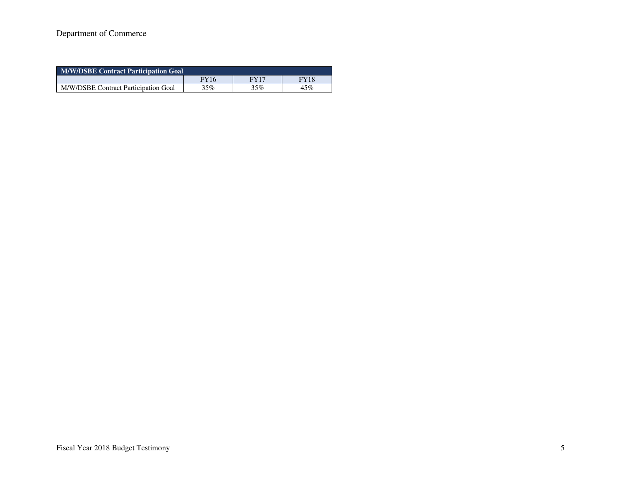# Department of Commerce

| M/W/DSBE Contract Participation Goal |             |      |             |  |  |  |  |  |  |  |  |
|--------------------------------------|-------------|------|-------------|--|--|--|--|--|--|--|--|
|                                      | <b>FY16</b> | FY17 | <b>FY18</b> |  |  |  |  |  |  |  |  |
| M/W/DSBE Contract Participation Goal | 35%         | 35%  | 45%         |  |  |  |  |  |  |  |  |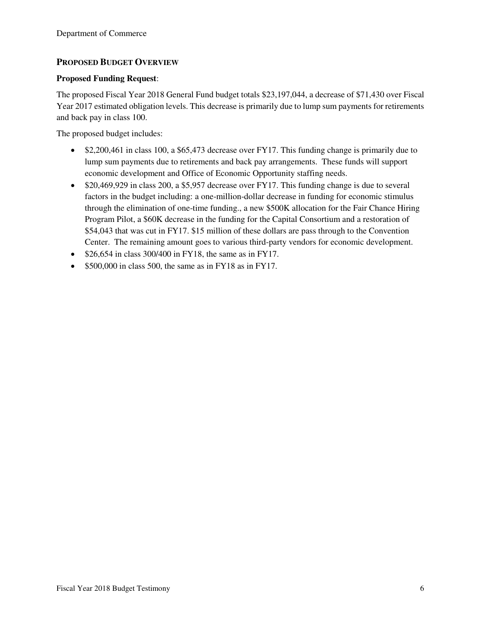## **PROPOSED BUDGET OVERVIEW**

#### **Proposed Funding Request**:

The proposed Fiscal Year 2018 General Fund budget totals \$23,197,044, a decrease of \$71,430 over Fiscal Year 2017 estimated obligation levels. This decrease is primarily due to lump sum payments for retirements and back pay in class 100.

The proposed budget includes:

- \$2,200,461 in class 100, a \$65,473 decrease over FY17. This funding change is primarily due to lump sum payments due to retirements and back pay arrangements. These funds will support economic development and Office of Economic Opportunity staffing needs.
- \$20,469,929 in class 200, a \$5,957 decrease over FY17. This funding change is due to several factors in the budget including: a one-million-dollar decrease in funding for economic stimulus through the elimination of one-time funding., a new \$500K allocation for the Fair Chance Hiring Program Pilot, a \$60K decrease in the funding for the Capital Consortium and a restoration of \$54,043 that was cut in FY17. \$15 million of these dollars are pass through to the Convention Center. The remaining amount goes to various third-party vendors for economic development.
- $\bullet$  \$26,654 in class 300/400 in FY18, the same as in FY17.
- $\bullet$  \$500,000 in class 500, the same as in FY18 as in FY17.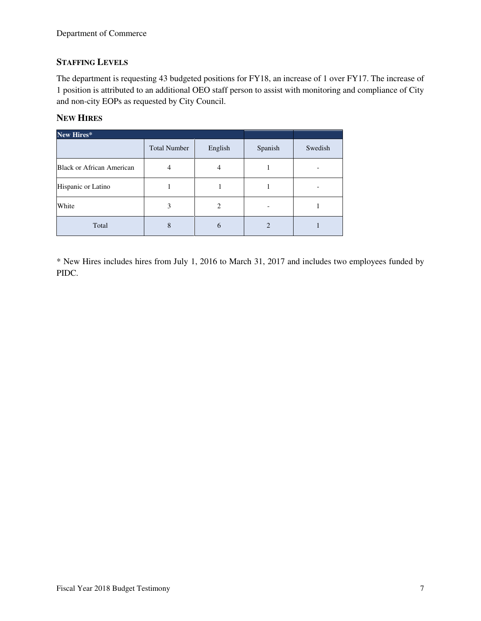## **STAFFING LEVELS**

The department is requesting 43 budgeted positions for FY18, an increase of 1 over FY17. The increase of 1 position is attributed to an additional OEO staff person to assist with monitoring and compliance of City and non-city EOPs as requested by City Council.

## **NEW HIRES**

| New Hires*                |                     |         |                |         |
|---------------------------|---------------------|---------|----------------|---------|
|                           | <b>Total Number</b> | English | Spanish        | Swedish |
| Black or African American | 4                   | 4       |                |         |
| Hispanic or Latino        |                     |         |                |         |
| White                     | 3                   | 2       |                |         |
| Total                     | 8                   | 6       | $\mathfrak{D}$ |         |

\* New Hires includes hires from July 1, 2016 to March 31, 2017 and includes two employees funded by PIDC.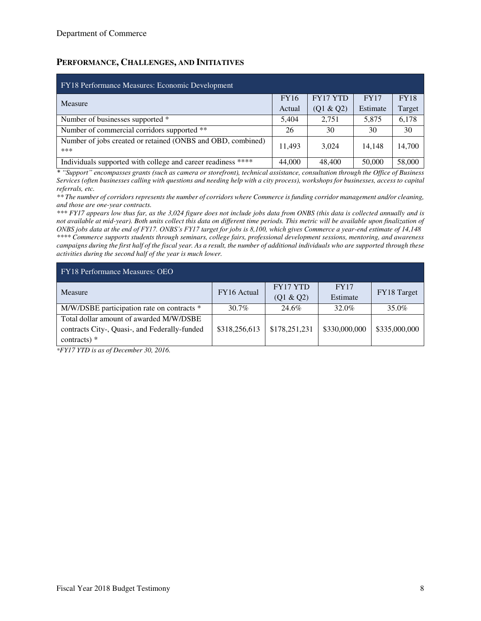## **PERFORMANCE, CHALLENGES, AND INITIATIVES**

| FY18 Performance Measures: Economic Development                    |             |                 |             |             |  |  |  |  |  |  |  |  |
|--------------------------------------------------------------------|-------------|-----------------|-------------|-------------|--|--|--|--|--|--|--|--|
| Measure                                                            | <b>FY16</b> | <b>FY17 YTD</b> | <b>FY17</b> | <b>FY18</b> |  |  |  |  |  |  |  |  |
|                                                                    | Actual      | (Q1 & Q2)       | Estimate    | Target      |  |  |  |  |  |  |  |  |
| Number of businesses supported *                                   | 5,404       | 2.751           | 5,875       | 6,178       |  |  |  |  |  |  |  |  |
| Number of commercial corridors supported **                        | 26          | 30              | 30          | 30          |  |  |  |  |  |  |  |  |
| Number of jobs created or retained (ONBS and OBD, combined)<br>*** | 11.493      | 3.024           | 14.148      | 14.700      |  |  |  |  |  |  |  |  |
| Individuals supported with college and career readiness ****       | 44,000      | 48,400          | 50,000      | 58,000      |  |  |  |  |  |  |  |  |

*\* "Support" encompasses grants (such as camera or storefront), technical assistance, consultation through the Office of Business Services (often businesses calling with questions and needing help with a city process), workshops for businesses, access to capital referrals, etc.* 

*\*\* The number of corridors represents the number of corridors where Commerce is funding corridor management and/or cleaning, and those are one-year contracts.* 

*\*\*\* FY17 appears low thus far, as the 3,024 figure does not include jobs data from ONBS (this data is collected annually and is*  not available at mid-year). Both units collect this data on different time periods. This metric will be available upon finalization of *ONBS jobs data at the end of FY17. ONBS's FY17 target for jobs is 8,100, which gives Commerce a year-end estimate of 14,148 \*\*\*\* Commerce supports students through seminars, college fairs, professional development sessions, mentoring, and awareness campaigns during the first half of the fiscal year. As a result, the number of additional individuals who are supported through these activities during the second half of the year is much lower.* 

| <b>FY18 Performance Measures: OEO</b>         |               |                 |               |               |  |  |  |  |  |  |  |
|-----------------------------------------------|---------------|-----------------|---------------|---------------|--|--|--|--|--|--|--|
| <b>Measure</b>                                | FY16 Actual   | <b>FY17 YTD</b> | FY17          | FY18 Target   |  |  |  |  |  |  |  |
|                                               |               | (Q1 & Q2)       | Estimate      |               |  |  |  |  |  |  |  |
| M/W/DSBE participation rate on contracts *    | $30.7\%$      | 24.6%           | 32.0%         | 35.0%         |  |  |  |  |  |  |  |
| Total dollar amount of awarded M/W/DSBE       |               |                 |               |               |  |  |  |  |  |  |  |
| contracts City-, Quasi-, and Federally-funded | \$318,256,613 | \$178,251,231   | \$330,000,000 | \$335,000,000 |  |  |  |  |  |  |  |
| contracts) $*$                                |               |                 |               |               |  |  |  |  |  |  |  |

*\*FY17 YTD is as of December 30, 2016.*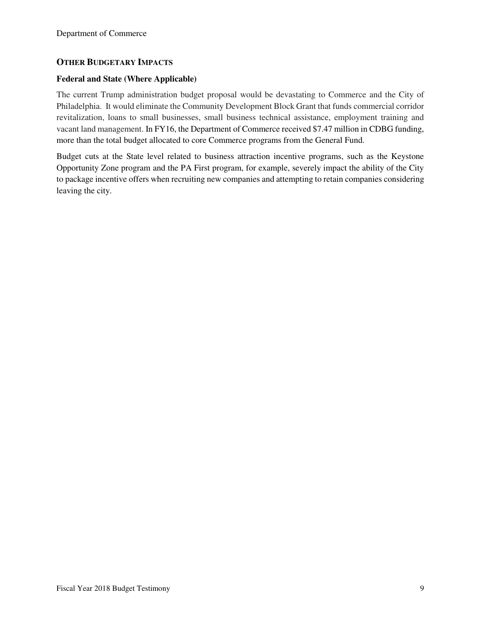#### **OTHER BUDGETARY IMPACTS**

#### **Federal and State (Where Applicable)**

The current Trump administration budget proposal would be devastating to Commerce and the City of Philadelphia. It would eliminate the Community Development Block Grant that funds commercial corridor revitalization, loans to small businesses, small business technical assistance, employment training and vacant land management. In FY16, the Department of Commerce received \$7.47 million in CDBG funding, more than the total budget allocated to core Commerce programs from the General Fund.

Budget cuts at the State level related to business attraction incentive programs, such as the Keystone Opportunity Zone program and the PA First program, for example, severely impact the ability of the City to package incentive offers when recruiting new companies and attempting to retain companies considering leaving the city.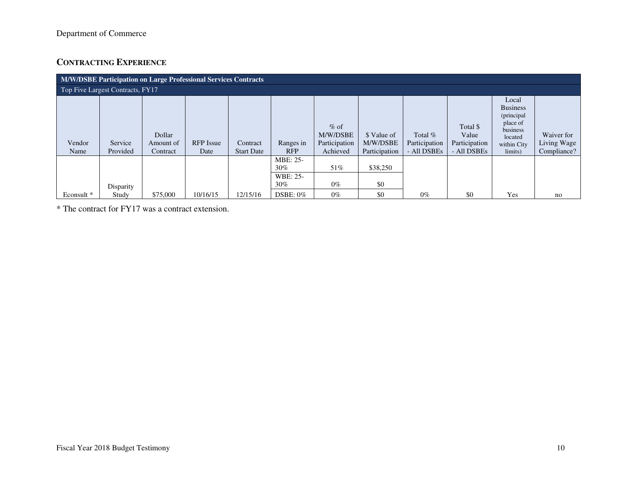# **CONTRACTING EXPERIENCE**

|                | <b>M/W/DSBE Participation on Large Professional Services Contracts</b> |                                 |                          |                               |                                                 |                                                 |                                          |                                           |                                                   |                                                                                                     |                                          |  |  |
|----------------|------------------------------------------------------------------------|---------------------------------|--------------------------|-------------------------------|-------------------------------------------------|-------------------------------------------------|------------------------------------------|-------------------------------------------|---------------------------------------------------|-----------------------------------------------------------------------------------------------------|------------------------------------------|--|--|
|                | Top Five Largest Contracts, FY17                                       |                                 |                          |                               |                                                 |                                                 |                                          |                                           |                                                   |                                                                                                     |                                          |  |  |
| Vendor<br>Name | Service<br>Provided                                                    | Dollar<br>Amount of<br>Contract | <b>RFP</b> Issue<br>Date | Contract<br><b>Start Date</b> | Ranges in<br><b>RFP</b>                         | $%$ of<br>M/W/DSBE<br>Participation<br>Achieved | \$ Value of<br>M/W/DSBE<br>Participation | Total $%$<br>Participation<br>- All DSBEs | Total \$<br>Value<br>Participation<br>- All DSBEs | Local<br><b>Business</b><br>(principal<br>place of<br>business<br>located<br>within City<br>limits) | Waiver for<br>Living Wage<br>Compliance? |  |  |
|                | Disparity                                                              |                                 |                          |                               | MBE: 25-<br>$30\%$<br><b>WBE: 25-</b><br>$30\%$ | 51%<br>$0\%$                                    | \$38,250<br>\$0                          |                                           |                                                   |                                                                                                     |                                          |  |  |
| Econsult *     | Study                                                                  | \$75,000                        | 10/16/15                 | 12/15/16                      | $DSBE: 0\%$                                     | $0\%$                                           | \$0                                      | $0\%$                                     | \$0                                               | Yes                                                                                                 | no                                       |  |  |

\* The contract for FY17 was a contract extension.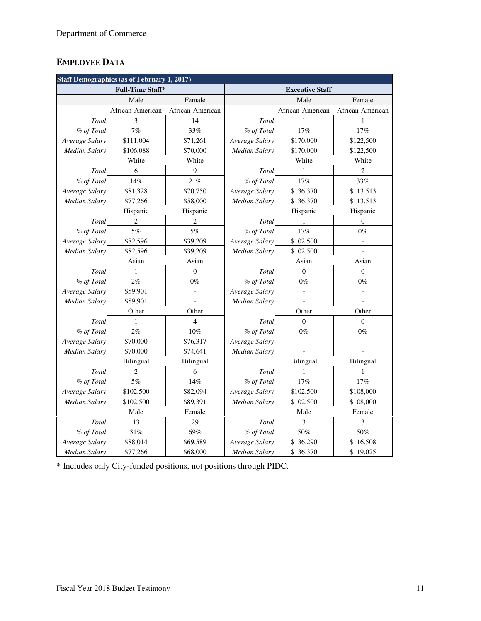# **EMPLOYEE DATA**

|                      | <b>Staff Demographics (as of February 1, 2017)</b> |                          |                            |                  |                          |  |  |  |
|----------------------|----------------------------------------------------|--------------------------|----------------------------|------------------|--------------------------|--|--|--|
|                      | <b>Full-Time Staff*</b>                            |                          | <b>Executive Staff</b>     |                  |                          |  |  |  |
|                      | Male                                               | Female                   |                            | Male             |                          |  |  |  |
|                      | African-American                                   | African-American         |                            | African-American | African-American         |  |  |  |
| Total                | 3                                                  | 14                       | Total                      | 1                | 1                        |  |  |  |
| % of Total           | 7%                                                 | 33%                      | % of Total                 | 17%              | 17%                      |  |  |  |
| Average Salary       | \$111,004                                          | \$71,261                 | Average Salary             | \$170,000        | \$122,500                |  |  |  |
| Median Salary        | \$106,088                                          | \$70,000                 | Median Salary              | \$170,000        | \$122,500                |  |  |  |
|                      | White                                              | White                    |                            | White            | White                    |  |  |  |
| Total                | 6                                                  | 9                        | Total                      | 1                | 2                        |  |  |  |
| % of Total           | 14%                                                | 21%                      | % of Total                 | 17%              | 33%                      |  |  |  |
| Average Salary       | \$81,328                                           | \$70,750                 | Average Salary             | \$136,370        | \$113,513                |  |  |  |
| <b>Median Salary</b> | \$77,266                                           | \$58,000                 | Median Salary              | \$136,370        | \$113,513                |  |  |  |
|                      | Hispanic                                           | Hispanic                 |                            | Hispanic         | Hispanic                 |  |  |  |
| Total                | $\overline{2}$                                     | $\overline{2}$           | Total                      | 1                | $\Omega$                 |  |  |  |
| % of Total           | 5%                                                 | 5%                       | % of Total                 | 17%              | $0\%$                    |  |  |  |
| Average Salary       | \$82,596                                           | \$39,209                 | Average Salary             | \$102,500        |                          |  |  |  |
| Median Salary        | \$82,596                                           | \$39,209                 | Median Salary<br>\$102,500 |                  |                          |  |  |  |
|                      | Asian                                              | Asian                    |                            | Asian            | Asian                    |  |  |  |
| Total                | $\mathbf{1}$                                       | $\overline{0}$           | Total                      | $\boldsymbol{0}$ | $\theta$                 |  |  |  |
| % of Total           | 2%                                                 | $0\%$                    | % of Total                 | $0\%$            | $0\%$                    |  |  |  |
| Average Salary       | \$59,901                                           | $\overline{\phantom{0}}$ | Average Salary             | $\mathbb{L}$     | $\overline{a}$           |  |  |  |
| <b>Median Salary</b> | \$59,901                                           | $\overline{a}$           | <b>Median Salary</b>       | $\mathbb{L}$     | $\overline{a}$           |  |  |  |
|                      | Other                                              | Other                    |                            | Other            | Other                    |  |  |  |
| Total                | 1                                                  | $\overline{4}$           | Total                      | $\mathbf{0}$     | $\mathbf{0}$             |  |  |  |
| % of Total           | 2%                                                 | 10%                      | % of Total                 | $0\%$            | $0\%$                    |  |  |  |
| Average Salary       | \$70,000                                           | \$76,317                 | Average Salary             | $\Box$           | $\overline{\phantom{a}}$ |  |  |  |
| <b>Median Salary</b> | \$70,000                                           | \$74,641                 | <b>Median Salary</b>       |                  |                          |  |  |  |
|                      | Bilingual                                          | <b>Bilingual</b>         |                            | <b>Bilingual</b> | Bilingual                |  |  |  |
| Total                | $\overline{c}$                                     | 6                        | Total                      | 1                | 1                        |  |  |  |
| % of Total           | 5%                                                 | 14%                      | % of Total                 | $17\%$           | 17%                      |  |  |  |
| Average Salary       | \$102,500                                          | \$82,094                 | Average Salary             | \$102,500        | \$108,000                |  |  |  |
| <b>Median Salary</b> | \$102,500                                          | \$89,391                 | <b>Median Salary</b>       | \$102,500        | \$108,000                |  |  |  |
|                      | Male                                               | Female                   |                            | Male             | Female                   |  |  |  |
| Total                | 13                                                 | 29                       | Total                      | 3                | 3                        |  |  |  |
| % of Total           | 31%                                                | 69%                      | % of Total                 | 50%              | 50%                      |  |  |  |
| Average Salary       | \$88,014                                           | \$69,589                 | Average Salary             | \$136,290        | \$116,508                |  |  |  |
| <b>Median Salary</b> | \$77,266                                           | \$68,000                 | <b>Median Salary</b>       | \$136,370        | \$119,025                |  |  |  |

\* Includes only City-funded positions, not positions through PIDC.